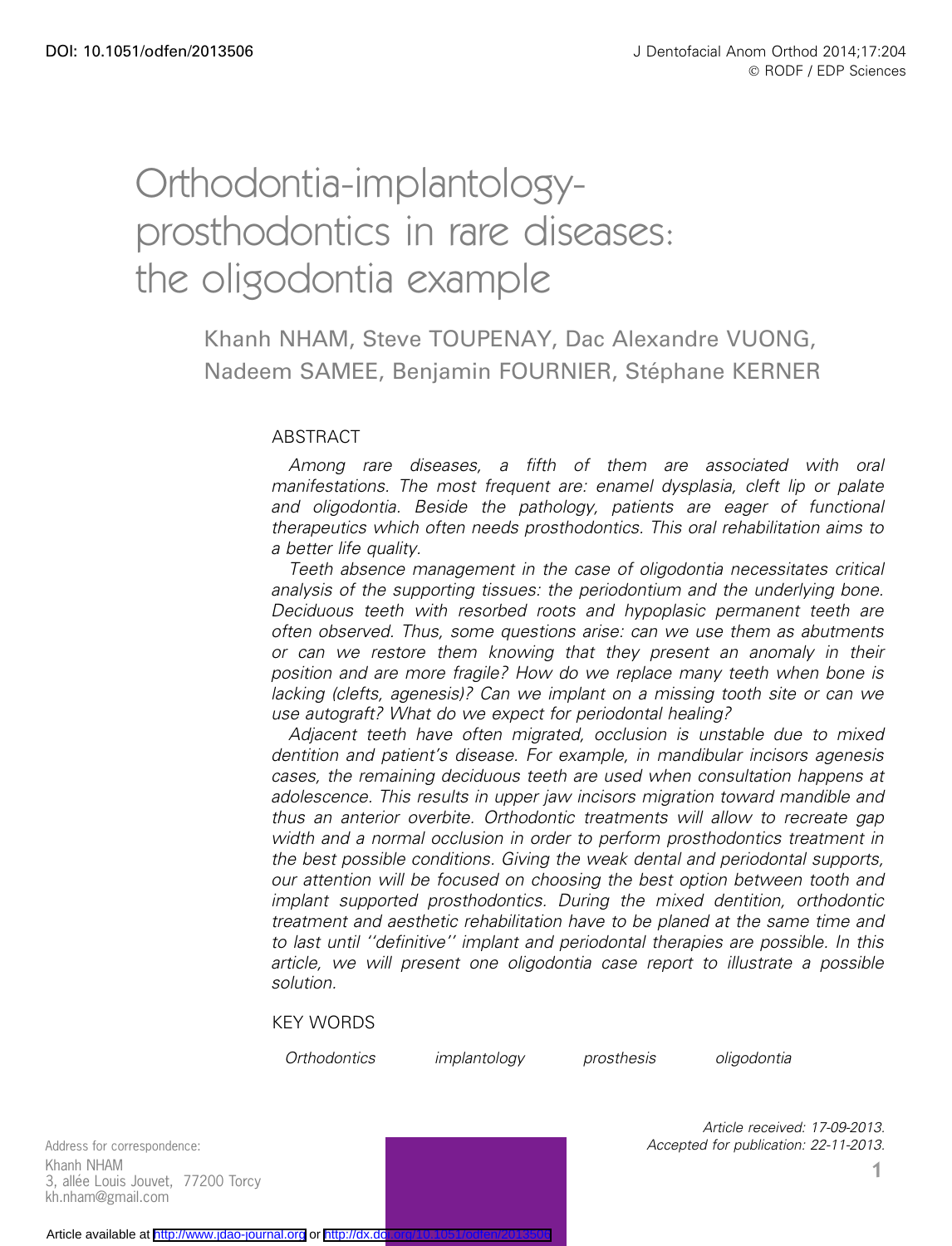# Orthodontia-implantologyprosthodontics in rare diseases: the oligodontia example

# Khanh NHAM, Steve TOUPENAY, Dac Alexandre VUONG, Nadeem SAMEE, Benjamin FOURNIER, Stéphane KERNER

#### ABSTRACT

Among rare diseases, a fifth of them are associated with oral manifestations. The most frequent are: enamel dysplasia, cleft lip or palate and oligodontia. Beside the pathology, patients are eager of functional therapeutics which often needs prosthodontics. This oral rehabilitation aims to a better life quality.

Teeth absence management in the case of oligodontia necessitates critical analysis of the supporting tissues: the periodontium and the underlying bone. Deciduous teeth with resorbed roots and hypoplasic permanent teeth are often observed. Thus, some questions arise: can we use them as abutments or can we restore them knowing that they present an anomaly in their position and are more fragile? How do we replace many teeth when bone is lacking (clefts, agenesis)? Can we implant on a missing tooth site or can we use autograft? What do we expect for periodontal healing?

Adjacent teeth have often migrated, occlusion is unstable due to mixed dentition and patient's disease. For example, in mandibular incisors agenesis cases, the remaining deciduous teeth are used when consultation happens at adolescence. This results in upper jaw incisors migration toward mandible and thus an anterior overbite. Orthodontic treatments will allow to recreate gap width and a normal occlusion in order to perform prosthodontics treatment in the best possible conditions. Giving the weak dental and periodontal supports, our attention will be focused on choosing the best option between tooth and implant supported prosthodontics. During the mixed dentition, orthodontic treatment and aesthetic rehabilitation have to be planed at the same time and to last until ''definitive'' implant and periodontal therapies are possible. In this article, we will present one oligodontia case report to illustrate a possible solution.

#### KEY WORDS

Orthodontics implantology prosthesis oligodontia

Address for correspondence: Khanh NHAM 3, allée Louis Jouvet, 77200 Torcy kh.nham@gmail.com

Article received: 17-09-2013. Accepted for publication: 22-11-2013.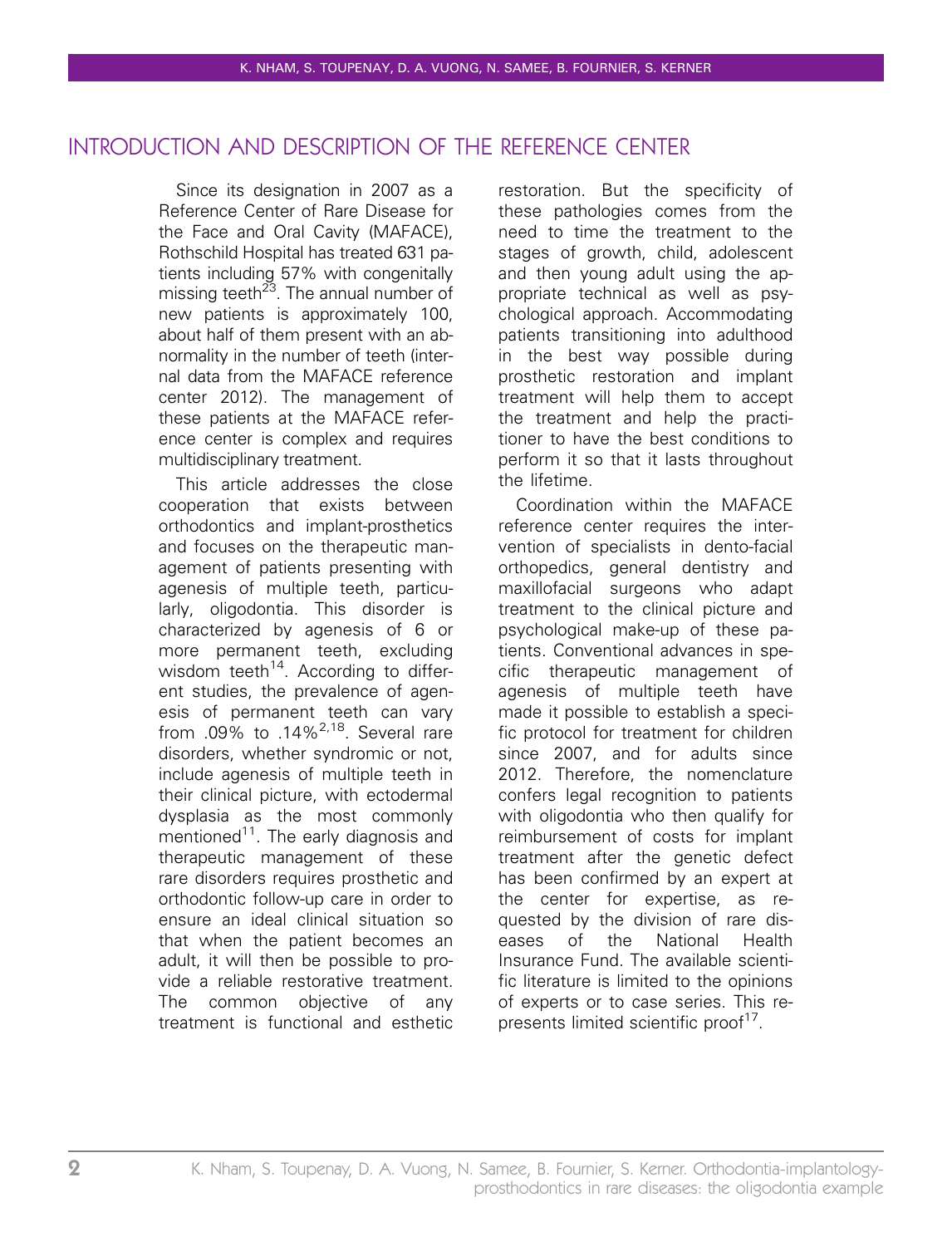#### INTRODUCTION AND DESCRIPTION OF THE REFERENCE CENTER

Since its designation in 2007 as a Reference Center of Rare Disease for the Face and Oral Cavity (MAFACE), Rothschild Hospital has treated 631 patients including 57% with congenitally missing teeth<sup>23</sup>. The annual number of new patients is approximately 100, about half of them present with an abnormality in the number of teeth (internal data from the MAFACE reference center 2012). The management of these patients at the MAFACE reference center is complex and requires multidisciplinary treatment.

This article addresses the close cooperation that exists between orthodontics and implant-prosthetics and focuses on the therapeutic management of patients presenting with agenesis of multiple teeth, particularly, oligodontia. This disorder is characterized by agenesis of 6 or more permanent teeth, excluding wisdom teeth<sup>14</sup>. According to different studies, the prevalence of agenesis of permanent teeth can vary from .09% to .14% $^{2,18}$ . Several rare disorders, whether syndromic or not, include agenesis of multiple teeth in their clinical picture, with ectodermal dysplasia as the most commonly mentioned<sup>11</sup>. The early diagnosis and therapeutic management of these rare disorders requires prosthetic and orthodontic follow-up care in order to ensure an ideal clinical situation so that when the patient becomes an adult, it will then be possible to provide a reliable restorative treatment. The common objective of any treatment is functional and esthetic restoration. But the specificity of these pathologies comes from the need to time the treatment to the stages of growth, child, adolescent and then young adult using the appropriate technical as well as psychological approach. Accommodating patients transitioning into adulthood in the best way possible during prosthetic restoration and implant treatment will help them to accept the treatment and help the practitioner to have the best conditions to perform it so that it lasts throughout the lifetime.

Coordination within the MAFACE reference center requires the intervention of specialists in dento-facial orthopedics, general dentistry and maxillofacial surgeons who adapt treatment to the clinical picture and psychological make-up of these patients. Conventional advances in specific therapeutic management of agenesis of multiple teeth have made it possible to establish a specific protocol for treatment for children since 2007, and for adults since 2012. Therefore, the nomenclature confers legal recognition to patients with oligodontia who then qualify for reimbursement of costs for implant treatment after the genetic defect has been confirmed by an expert at the center for expertise, as requested by the division of rare diseases of the National Health Insurance Fund. The available scientific literature is limited to the opinions of experts or to case series. This represents limited scientific proof<sup>17</sup>.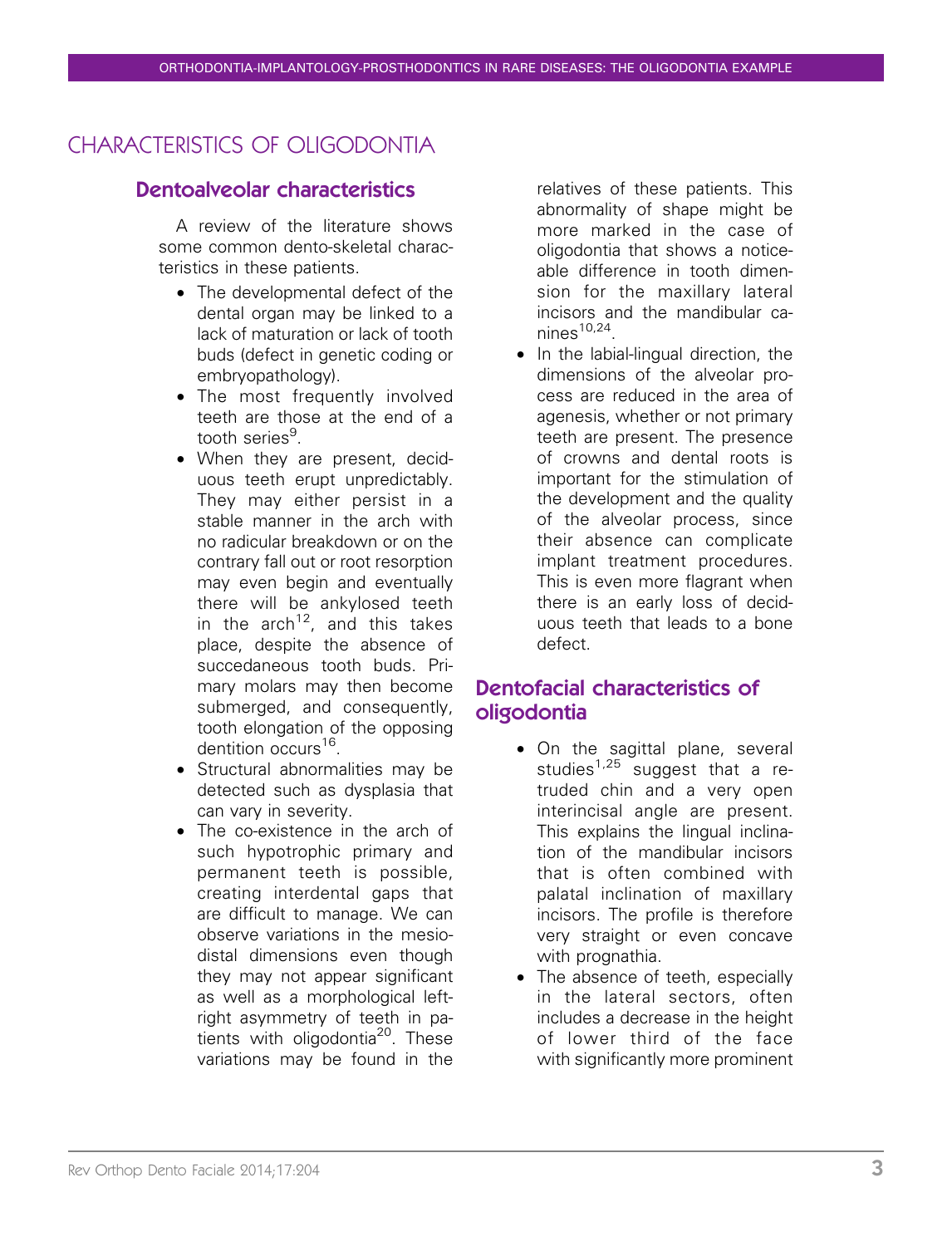# CHARACTERISTICS OF OLIGODONTIA

#### Dentoalveolar characteristics

A review of the literature shows some common dento-skeletal characteristics in these patients.

- The developmental defect of the dental organ may be linked to a lack of maturation or lack of tooth buds (defect in genetic coding or embryopathology).
- The most frequently involved teeth are those at the end of a tooth series<sup>9</sup>.
- When they are present, deciduous teeth erupt unpredictably. They may either persist in a stable manner in the arch with no radicular breakdown or on the contrary fall out or root resorption may even begin and eventually there will be ankylosed teeth in the arch<sup>12</sup>, and this takes place, despite the absence of succedaneous tooth buds. Primary molars may then become submerged, and consequently, tooth elongation of the opposing dentition occurs<sup>16</sup>.
- Structural abnormalities may be detected such as dysplasia that can vary in severity.
- The co-existence in the arch of such hypotrophic primary and permanent teeth is possible, creating interdental gaps that are difficult to manage. We can observe variations in the mesiodistal dimensions even though they may not appear significant as well as a morphological leftright asymmetry of teeth in patients with oligodontia<sup>20</sup>. These variations may be found in the

relatives of these patients. This abnormality of shape might be more marked in the case of oligodontia that shows a noticeable difference in tooth dimension for the maxillary lateral incisors and the mandibular ca $nines<sup>10,24</sup>$ 

• In the labial-lingual direction, the dimensions of the alveolar process are reduced in the area of agenesis, whether or not primary teeth are present. The presence of crowns and dental roots is important for the stimulation of the development and the quality of the alveolar process, since their absence can complicate implant treatment procedures. This is even more flagrant when there is an early loss of deciduous teeth that leads to a bone defect.

#### Dentofacial characteristics of oligodontia

- On the sagittal plane, several studies<sup>1,25</sup> suggest that a retruded chin and a very open interincisal angle are present. This explains the lingual inclination of the mandibular incisors that is often combined with palatal inclination of maxillary incisors. The profile is therefore very straight or even concave with prognathia.
- The absence of teeth, especially in the lateral sectors, often includes a decrease in the height of lower third of the face with significantly more prominent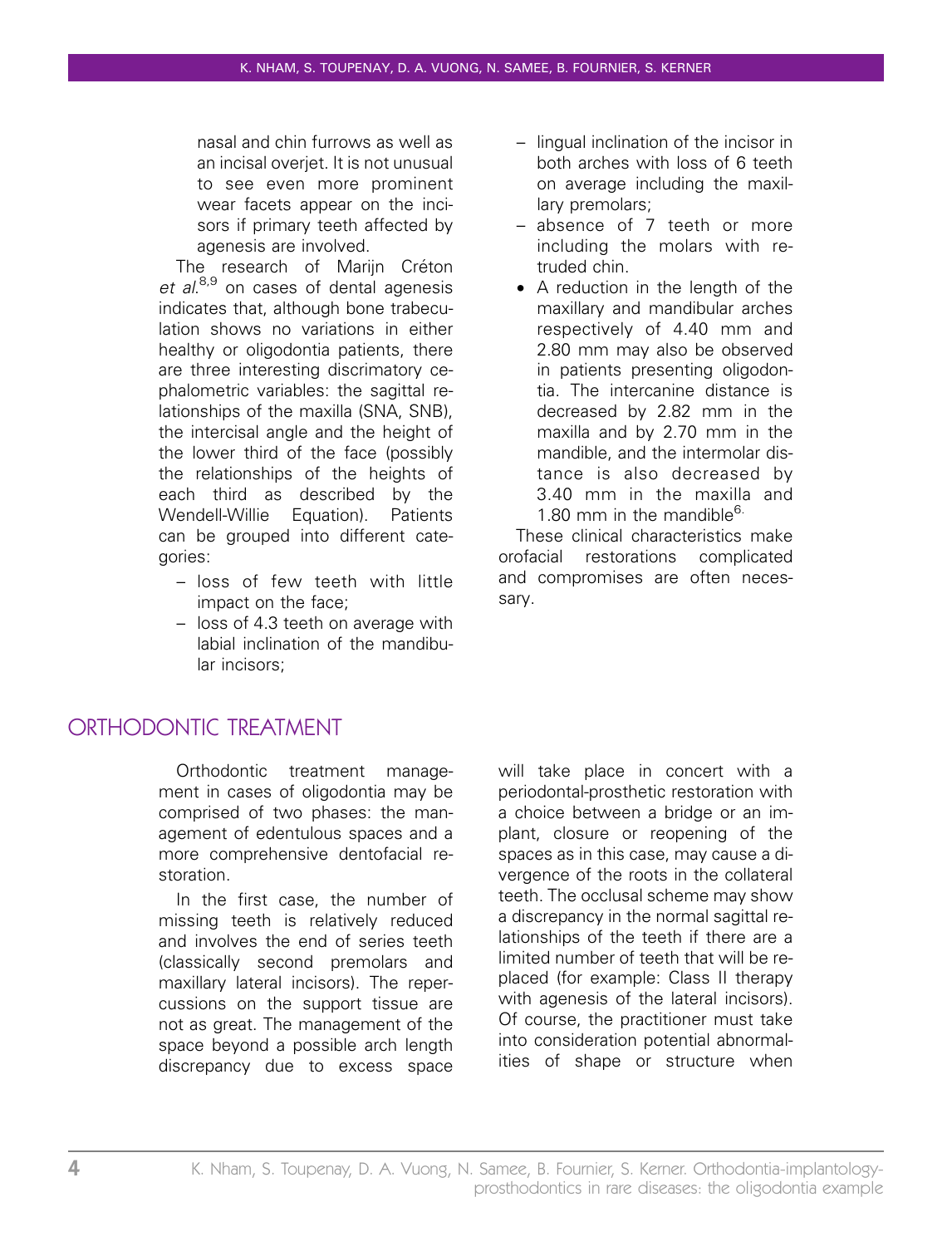nasal and chin furrows as well as an incisal overjet. It is not unusual to see even more prominent wear facets appear on the incisors if primary teeth affected by agenesis are involved.

The research of Marijn Créton et al.<sup>8,9</sup> on cases of dental agenesis indicates that, although bone trabeculation shows no variations in either healthy or oligodontia patients, there are three interesting discrimatory cephalometric variables: the sagittal relationships of the maxilla (SNA, SNB), the intercisal angle and the height of the lower third of the face (possibly the relationships of the heights of each third as described by the Wendell-Willie Equation). Patients can be grouped into different categories:

- loss of few teeth with little impact on the face;
- loss of 4.3 teeth on average with labial inclination of the mandibular incisors;
- lingual inclination of the incisor in both arches with loss of 6 teeth on average including the maxillary premolars;
- absence of 7 teeth or more including the molars with retruded chin.
- A reduction in the length of the maxillary and mandibular arches respectively of 4.40 mm and 2.80 mm may also be observed in patients presenting oligodontia. The intercanine distance is decreased by 2.82 mm in the maxilla and by 2.70 mm in the mandible, and the intermolar distance is also decreased by 3.40 mm in the maxilla and 1.80 mm in the mandible $6$ .

These clinical characteristics make orofacial restorations complicated and compromises are often necessary.

# ORTHODONTIC TREATMENT

Orthodontic treatment management in cases of oligodontia may be comprised of two phases: the management of edentulous spaces and a more comprehensive dentofacial restoration.

In the first case, the number of missing teeth is relatively reduced and involves the end of series teeth (classically second premolars and maxillary lateral incisors). The repercussions on the support tissue are not as great. The management of the space beyond a possible arch length discrepancy due to excess space

will take place in concert with a periodontal-prosthetic restoration with a choice between a bridge or an implant, closure or reopening of the spaces as in this case, may cause a divergence of the roots in the collateral teeth. The occlusal scheme may show a discrepancy in the normal sagittal relationships of the teeth if there are a limited number of teeth that will be replaced (for example: Class II therapy with agenesis of the lateral incisors). Of course, the practitioner must take into consideration potential abnormalities of shape or structure when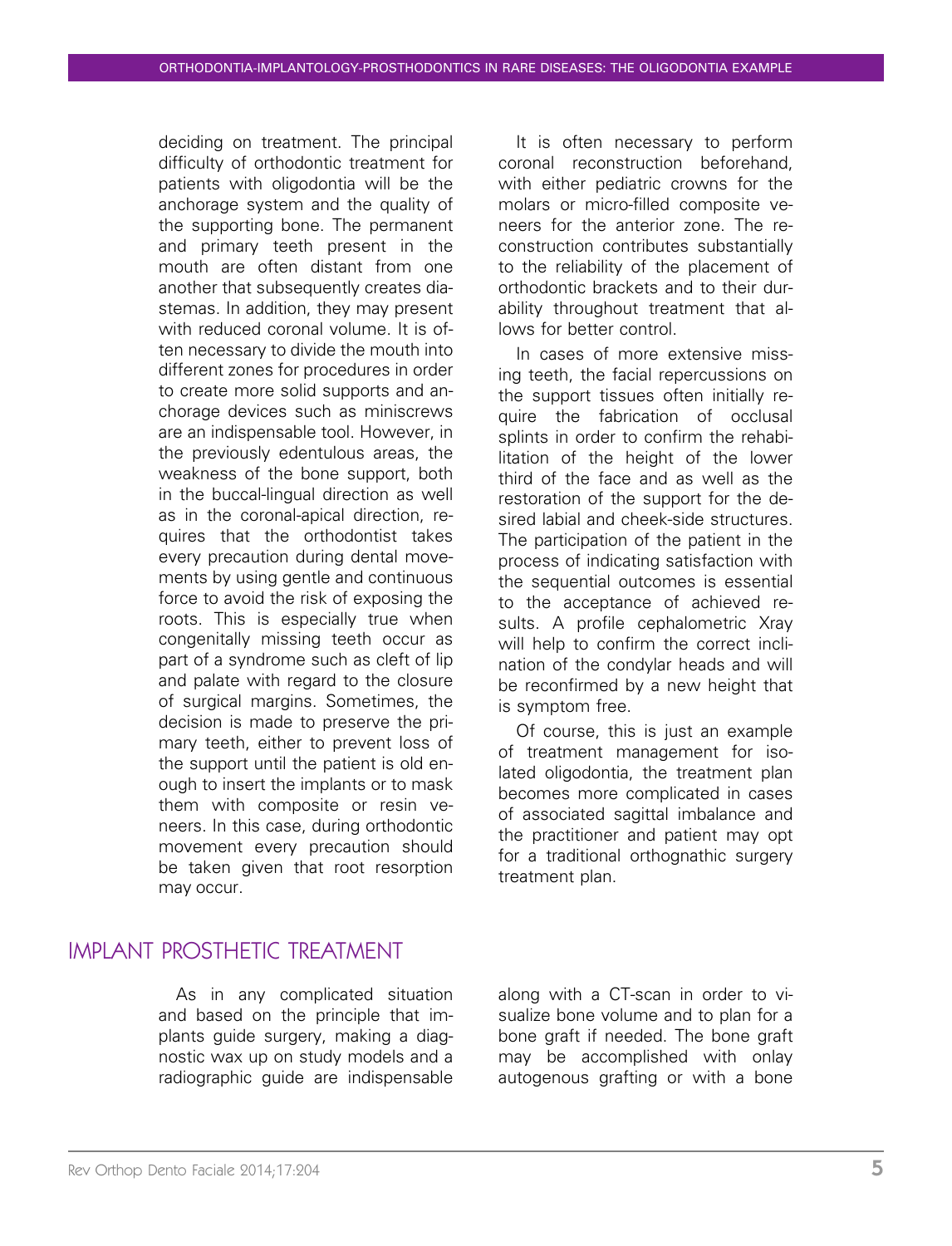deciding on treatment. The principal difficulty of orthodontic treatment for patients with oligodontia will be the anchorage system and the quality of the supporting bone. The permanent and primary teeth present in the mouth are often distant from one another that subsequently creates diastemas. In addition, they may present with reduced coronal volume. It is often necessary to divide the mouth into different zones for procedures in order to create more solid supports and anchorage devices such as miniscrews are an indispensable tool. However, in the previously edentulous areas, the weakness of the bone support, both in the buccal-lingual direction as well as in the coronal-apical direction, requires that the orthodontist takes every precaution during dental movements by using gentle and continuous force to avoid the risk of exposing the roots. This is especially true when congenitally missing teeth occur as part of a syndrome such as cleft of lip and palate with regard to the closure of surgical margins. Sometimes, the decision is made to preserve the primary teeth, either to prevent loss of the support until the patient is old enough to insert the implants or to mask them with composite or resin veneers. In this case, during orthodontic movement every precaution should be taken given that root resorption may occur.

It is often necessary to perform coronal reconstruction beforehand, with either pediatric crowns for the molars or micro-filled composite veneers for the anterior zone. The reconstruction contributes substantially to the reliability of the placement of orthodontic brackets and to their durability throughout treatment that allows for better control.

In cases of more extensive missing teeth, the facial repercussions on the support tissues often initially require the fabrication of occlusal splints in order to confirm the rehabilitation of the height of the lower third of the face and as well as the restoration of the support for the desired labial and cheek-side structures. The participation of the patient in the process of indicating satisfaction with the sequential outcomes is essential to the acceptance of achieved results. A profile cephalometric Xray will help to confirm the correct inclination of the condylar heads and will be reconfirmed by a new height that is symptom free.

Of course, this is just an example of treatment management for isolated oligodontia, the treatment plan becomes more complicated in cases of associated sagittal imbalance and the practitioner and patient may opt for a traditional orthognathic surgery treatment plan.

## IMPLANT PROSTHETIC TREATMENT

As in any complicated situation and based on the principle that implants guide surgery, making a diagnostic wax up on study models and a radiographic guide are indispensable along with a CT-scan in order to visualize bone volume and to plan for a bone graft if needed. The bone graft may be accomplished with onlay autogenous grafting or with a bone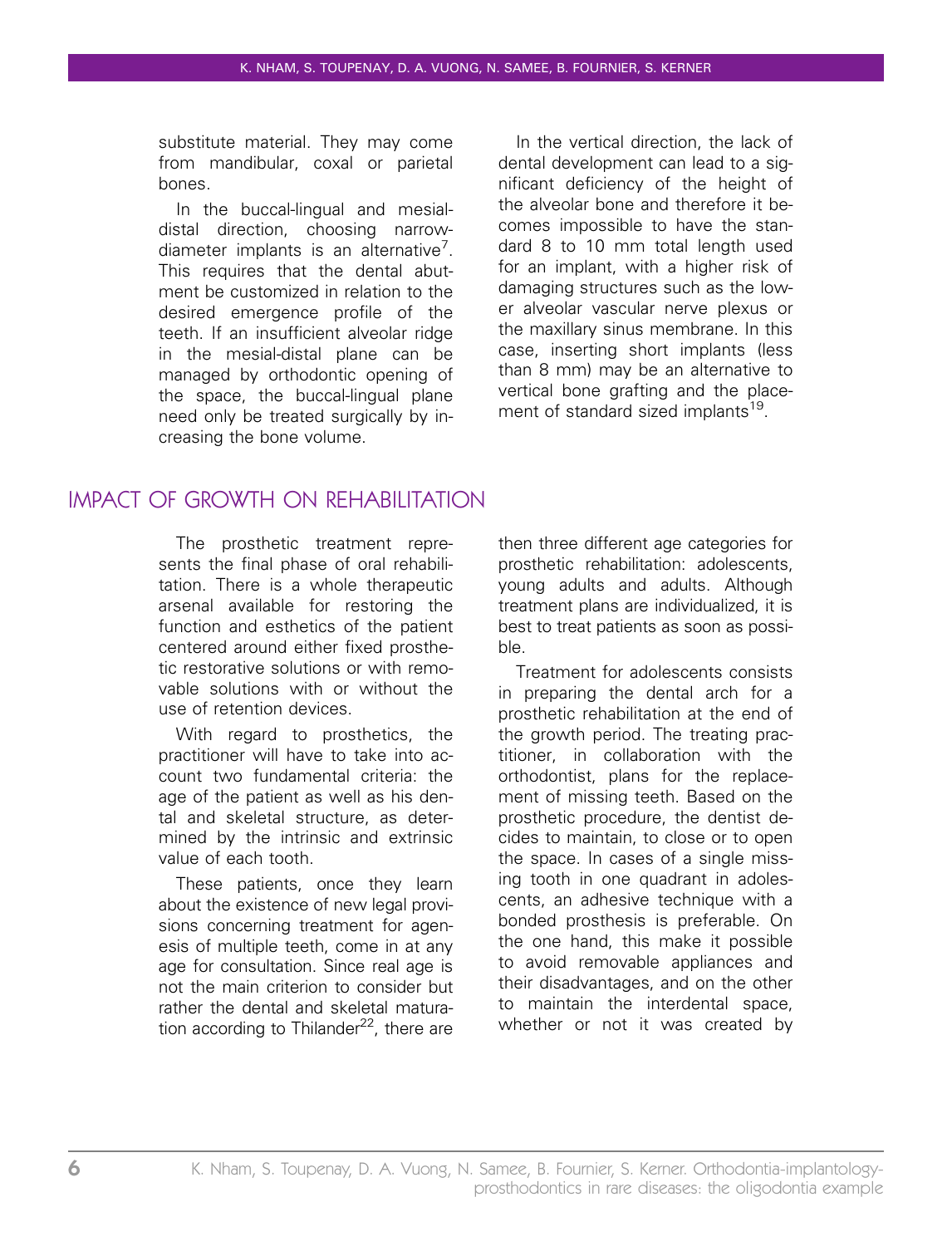substitute material. They may come from mandibular, coxal or parietal bones.

In the buccal-lingual and mesialdistal direction, choosing narrowdiameter implants is an alternative<sup>7</sup>. This requires that the dental abutment be customized in relation to the desired emergence profile of the teeth. If an insufficient alveolar ridge in the mesial-distal plane can be managed by orthodontic opening of the space, the buccal-lingual plane need only be treated surgically by increasing the bone volume.

In the vertical direction, the lack of dental development can lead to a significant deficiency of the height of the alveolar bone and therefore it becomes impossible to have the standard 8 to 10 mm total length used for an implant, with a higher risk of damaging structures such as the lower alveolar vascular nerve plexus or the maxillary sinus membrane. In this case, inserting short implants (less than 8 mm) may be an alternative to vertical bone grafting and the placement of standard sized implants<sup>19</sup>.

#### IMPACT OF GROWTH ON REHABILITATION

The prosthetic treatment represents the final phase of oral rehabilitation. There is a whole therapeutic arsenal available for restoring the function and esthetics of the patient centered around either fixed prosthetic restorative solutions or with removable solutions with or without the use of retention devices.

With regard to prosthetics, the practitioner will have to take into account two fundamental criteria: the age of the patient as well as his dental and skeletal structure, as determined by the intrinsic and extrinsic value of each tooth.

These patients, once they learn about the existence of new legal provisions concerning treatment for agenesis of multiple teeth, come in at any age for consultation. Since real age is not the main criterion to consider but rather the dental and skeletal maturation according to Thilander<sup>22</sup>, there are then three different age categories for prosthetic rehabilitation: adolescents, young adults and adults. Although treatment plans are individualized, it is best to treat patients as soon as possible.

Treatment for adolescents consists in preparing the dental arch for a prosthetic rehabilitation at the end of the growth period. The treating practitioner, in collaboration with the orthodontist, plans for the replacement of missing teeth. Based on the prosthetic procedure, the dentist decides to maintain, to close or to open the space. In cases of a single missing tooth in one quadrant in adolescents, an adhesive technique with a bonded prosthesis is preferable. On the one hand, this make it possible to avoid removable appliances and their disadvantages, and on the other to maintain the interdental space, whether or not it was created by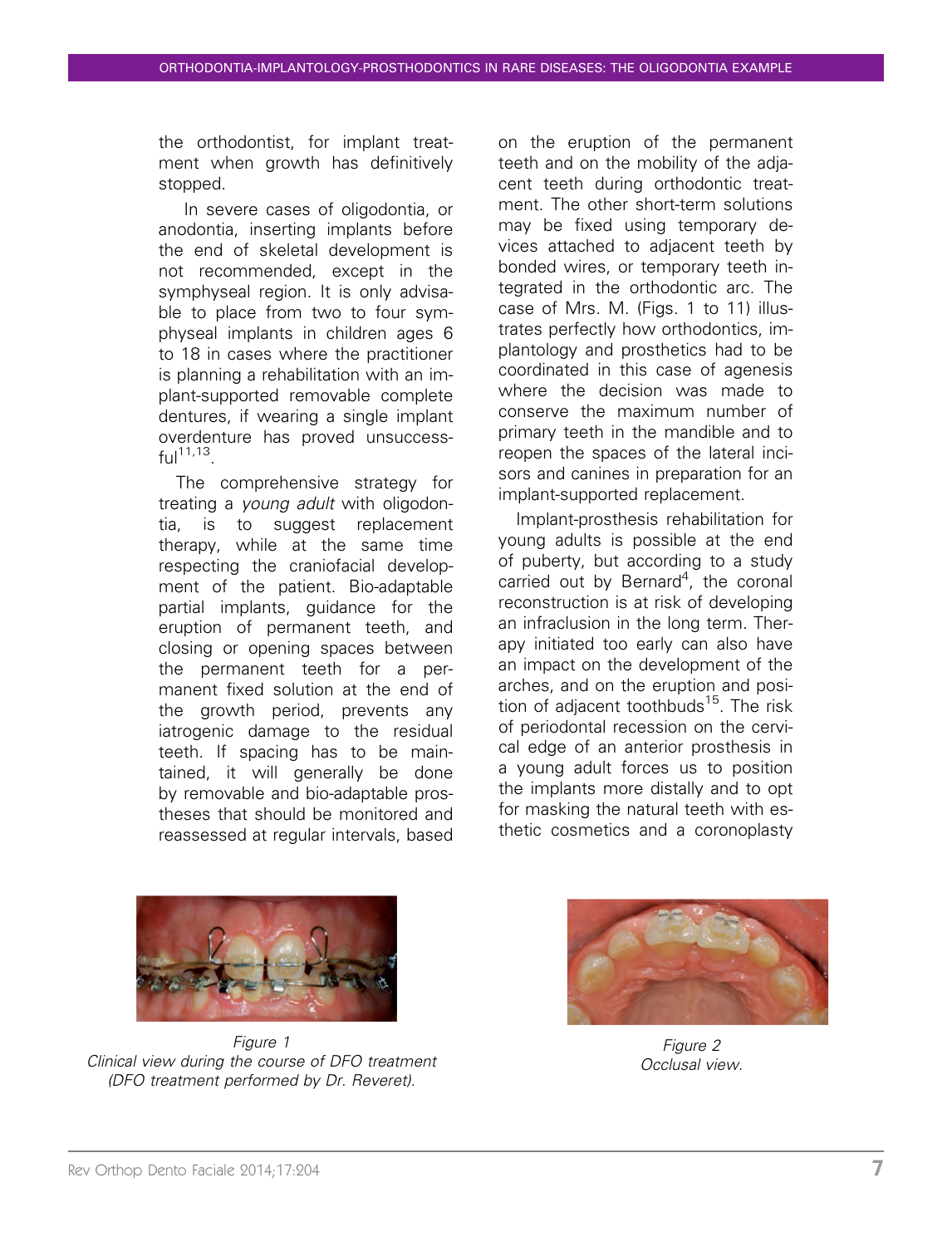the orthodontist, for implant treatment when growth has definitively stopped.

In severe cases of oligodontia, or anodontia, inserting implants before the end of skeletal development is not recommended, except in the symphyseal region. It is only advisable to place from two to four symphyseal implants in children ages 6 to 18 in cases where the practitioner is planning a rehabilitation with an implant-supported removable complete dentures, if wearing a single implant overdenture has proved unsuccess $f_{11}$ [11,13]

The comprehensive strategy for treating a *young adult* with oligodontia, is to suggest replacement therapy, while at the same time respecting the craniofacial development of the patient. Bio-adaptable partial implants, guidance for the eruption of permanent teeth, and closing or opening spaces between the permanent teeth for a permanent fixed solution at the end of the growth period, prevents any iatrogenic damage to the residual teeth. If spacing has to be maintained, it will generally be done by removable and bio-adaptable prostheses that should be monitored and reassessed at regular intervals, based on the eruption of the permanent teeth and on the mobility of the adjacent teeth during orthodontic treatment. The other short-term solutions may be fixed using temporary devices attached to adjacent teeth by bonded wires, or temporary teeth integrated in the orthodontic arc. The case of Mrs. M. (Figs. 1 to 11) illustrates perfectly how orthodontics, implantology and prosthetics had to be coordinated in this case of agenesis where the decision was made to conserve the maximum number of primary teeth in the mandible and to reopen the spaces of the lateral incisors and canines in preparation for an implant-supported replacement.

Implant-prosthesis rehabilitation for young adults is possible at the end of puberty, but according to a study carried out by Bernard<sup>4</sup>, the coronal reconstruction is at risk of developing an infraclusion in the long term. Therapy initiated too early can also have an impact on the development of the arches, and on the eruption and position of adjacent toothbuds $15$ . The risk of periodontal recession on the cervical edge of an anterior prosthesis in a young adult forces us to position the implants more distally and to opt for masking the natural teeth with esthetic cosmetics and a coronoplasty



Figure 1 Clinical view during the course of DFO treatment (DFO treatment performed by Dr. Reveret).



Figure 2 Occlusal view.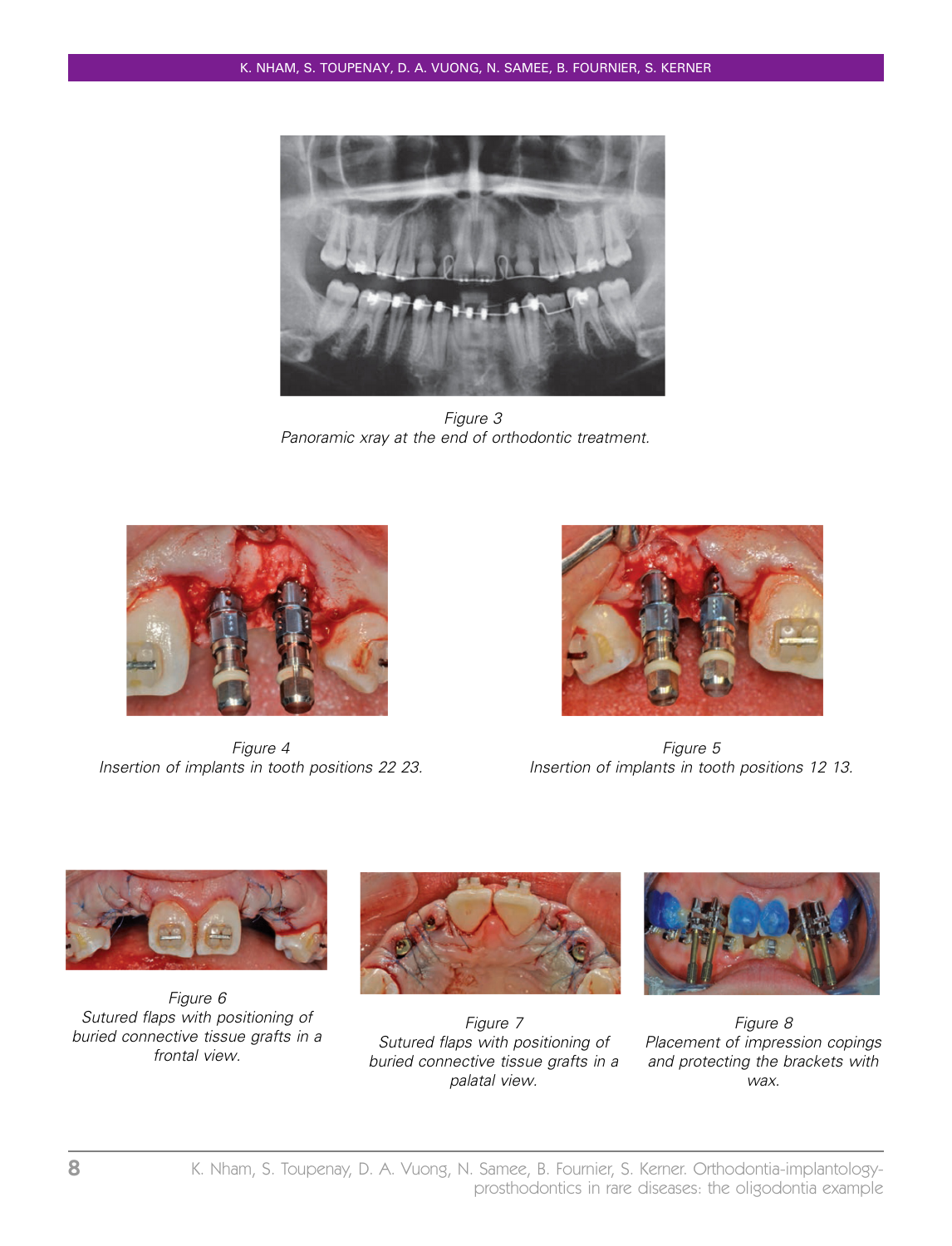

Figure 3 Panoramic xray at the end of orthodontic treatment.



Figure 4 Insertion of implants in tooth positions 22 23.



Figure 5 Insertion of implants in tooth positions 12 13.



Figure 6 Sutured flaps with positioning of buried connective tissue grafts in a frontal view.



Figure 7 Sutured flaps with positioning of buried connective tissue grafts in a palatal view.



Figure 8 Placement of impression copings and protecting the brackets with wax.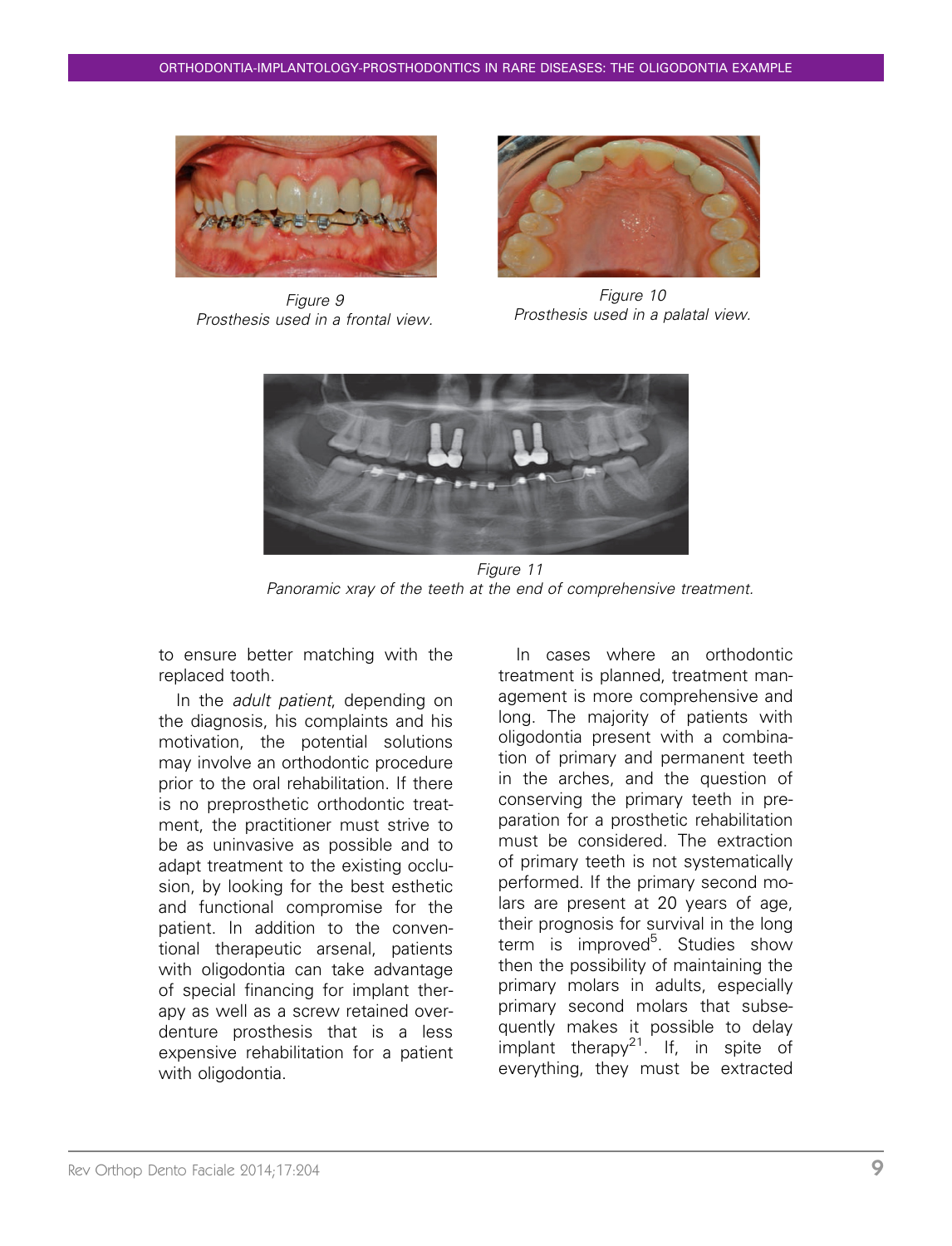

Figure 9 Prosthesis used in a frontal view.



Figure 10 Prosthesis used in a palatal view.



Figure 11 Panoramic xray of the teeth at the end of comprehensive treatment.

to ensure better matching with the replaced tooth.

In the adult patient, depending on the diagnosis, his complaints and his motivation, the potential solutions may involve an orthodontic procedure prior to the oral rehabilitation. If there is no preprosthetic orthodontic treatment, the practitioner must strive to be as uninvasive as possible and to adapt treatment to the existing occlusion, by looking for the best esthetic and functional compromise for the patient. In addition to the conventional therapeutic arsenal, patients with oligodontia can take advantage of special financing for implant therapy as well as a screw retained overdenture prosthesis that is a less expensive rehabilitation for a patient with oligodontia.

In cases where an orthodontic treatment is planned, treatment management is more comprehensive and long. The majority of patients with oligodontia present with a combination of primary and permanent teeth in the arches, and the question of conserving the primary teeth in preparation for a prosthetic rehabilitation must be considered. The extraction of primary teeth is not systematically performed. If the primary second molars are present at 20 years of age, their prognosis for survival in the long term is improved<sup>5</sup>. Studies show then the possibility of maintaining the primary molars in adults, especially primary second molars that subsequently makes it possible to delay implant therapy<sup>21</sup>. If, in spite of everything, they must be extracted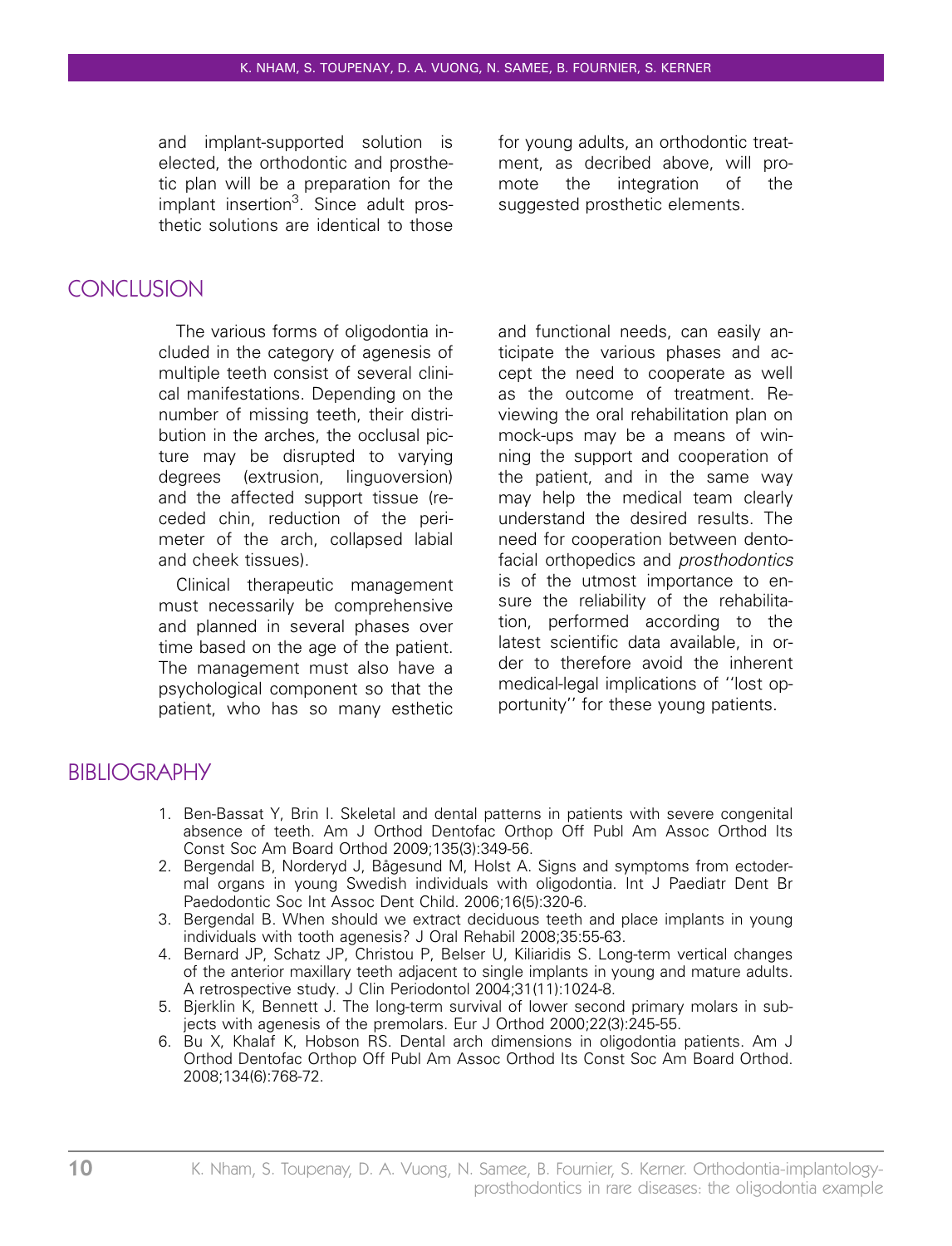and implant-supported solution is elected, the orthodontic and prosthetic plan will be a preparation for the implant insertion<sup>3</sup>. Since adult prosthetic solutions are identical to those for young adults, an orthodontic treatment, as decribed above, will promote the integration of the suggested prosthetic elements.

### **CONCLUSION**

The various forms of oligodontia included in the category of agenesis of multiple teeth consist of several clinical manifestations. Depending on the number of missing teeth, their distribution in the arches, the occlusal picture may be disrupted to varying degrees (extrusion, linguoversion) and the affected support tissue (receded chin, reduction of the perimeter of the arch, collapsed labial and cheek tissues).

Clinical therapeutic management must necessarily be comprehensive and planned in several phases over time based on the age of the patient. The management must also have a psychological component so that the patient, who has so many esthetic and functional needs, can easily anticipate the various phases and accept the need to cooperate as well as the outcome of treatment. Reviewing the oral rehabilitation plan on mock-ups may be a means of winning the support and cooperation of the patient, and in the same way may help the medical team clearly understand the desired results. The need for cooperation between dentofacial orthopedics and prosthodontics is of the utmost importance to ensure the reliability of the rehabilitation, performed according to the latest scientific data available, in order to therefore avoid the inherent medical-legal implications of ''lost opportunity'' for these young patients.

#### BIBLIOGRAPHY

- 1. Ben-Bassat Y, Brin I. Skeletal and dental patterns in patients with severe congenital absence of teeth. Am J Orthod Dentofac Orthop Off Publ Am Assoc Orthod Its Const Soc Am Board Orthod 2009;135(3):349-56.
- 2. Bergendal B, Norderyd J, Bågesund M, Holst A. Signs and symptoms from ectodermal organs in young Swedish individuals with oligodontia. Int J Paediatr Dent Br Paedodontic Soc Int Assoc Dent Child. 2006;16(5):320-6.
- 3. Bergendal B. When should we extract deciduous teeth and place implants in young individuals with tooth agenesis? J Oral Rehabil 2008;35:55-63.
- 4. Bernard JP, Schatz JP, Christou P, Belser U, Kiliaridis S. Long-term vertical changes of the anterior maxillary teeth adjacent to single implants in young and mature adults. A retrospective study. J Clin Periodontol 2004;31(11):1024-8.
- 5. Bjerklin K, Bennett J. The long-term survival of lower second primary molars in subjects with agenesis of the premolars. Eur J Orthod 2000;22(3):245-55.
- 6. Bu X, Khalaf K, Hobson RS. Dental arch dimensions in oligodontia patients. Am J Orthod Dentofac Orthop Off Publ Am Assoc Orthod Its Const Soc Am Board Orthod. 2008;134(6):768-72.